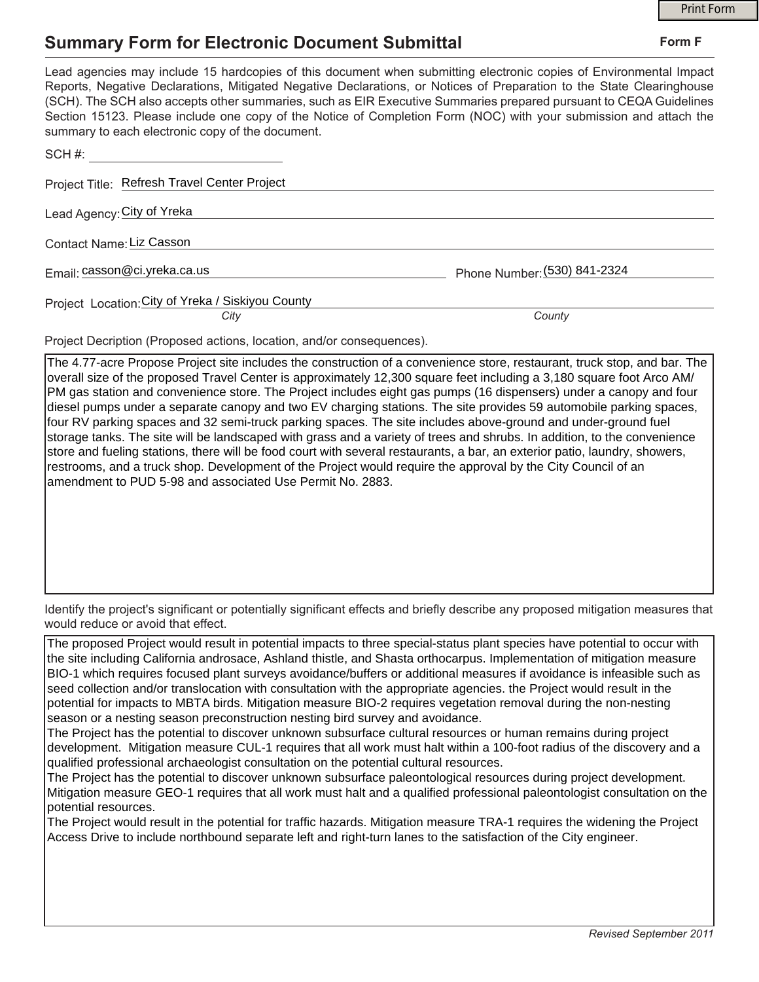## **Summary Form for Electronic Document Submittal**

|                                                                                                                                                                                                                                                                                                                                                                                                                                                                                                                                           |                              | <b>Print Form</b> |
|-------------------------------------------------------------------------------------------------------------------------------------------------------------------------------------------------------------------------------------------------------------------------------------------------------------------------------------------------------------------------------------------------------------------------------------------------------------------------------------------------------------------------------------------|------------------------------|-------------------|
| <b>Summary Form for Electronic Document Submittal</b>                                                                                                                                                                                                                                                                                                                                                                                                                                                                                     |                              | Form F            |
| Lead agencies may include 15 hardcopies of this document when submitting electronic copies of Environmental Impact<br>Reports, Negative Declarations, Mitigated Negative Declarations, or Notices of Preparation to the State Clearinghouse<br>(SCH). The SCH also accepts other summaries, such as EIR Executive Summaries prepared pursuant to CEQA Guidelines<br>Section 15123. Please include one copy of the Notice of Completion Form (NOC) with your submission and attach the<br>summary to each electronic copy of the document. |                              |                   |
| SCH #:                                                                                                                                                                                                                                                                                                                                                                                                                                                                                                                                    |                              |                   |
| Project Title: Refresh Travel Center Project                                                                                                                                                                                                                                                                                                                                                                                                                                                                                              |                              |                   |
| Lead Agency: City of Yreka                                                                                                                                                                                                                                                                                                                                                                                                                                                                                                                |                              |                   |
| Contact Name: Liz Casson                                                                                                                                                                                                                                                                                                                                                                                                                                                                                                                  |                              |                   |
| Email: casson@ci.yreka.ca.us                                                                                                                                                                                                                                                                                                                                                                                                                                                                                                              | Phone Number: (530) 841-2324 |                   |
| Project Location: City of Yreka / Siskiyou County                                                                                                                                                                                                                                                                                                                                                                                                                                                                                         |                              |                   |
| City                                                                                                                                                                                                                                                                                                                                                                                                                                                                                                                                      | County                       |                   |
| Project Decription (Proposed actions, location, and/or consequences).                                                                                                                                                                                                                                                                                                                                                                                                                                                                     |                              |                   |
| The 4.77-acre Propose Project site includes the construction of a convenience store, restaurant, truck stop, and bar. The                                                                                                                                                                                                                                                                                                                                                                                                                 |                              |                   |

overall size of the proposed Travel Center is approximately 12,300 square feet including a 3,180 square foot Arco AM/ PM gas station and convenience store. The Project includes eight gas pumps (16 dispensers) under a canopy and four diesel pumps under a separate canopy and two EV charging stations. The site provides 59 automobile parking spaces, four RV parking spaces and 32 semi-truck parking spaces. The site includes above-ground and under-ground fuel storage tanks. The site will be landscaped with grass and a variety of trees and shrubs. In addition, to the convenience store and fueling stations, there will be food court with several restaurants, a bar, an exterior patio, laundry, showers, restrooms, and a truck shop. Development of the Project would require the approval by the City Council of an amendment to PUD 5-98 and associated Use Permit No. 2883.

Identify the project's significant or potentially significant effects and briefly describe any proposed mitigation measures that would reduce or avoid that effect.

The proposed Project would result in potential impacts to three special-status plant species have potential to occur with the site including California androsace, Ashland thistle, and Shasta orthocarpus. Implementation of mitigation measure BIO-1 which requires focused plant surveys avoidance/buffers or additional measures if avoidance is infeasible such as seed collection and/or translocation with consultation with the appropriate agencies. the Project would result in the potential for impacts to MBTA birds. Mitigation measure BIO-2 requires vegetation removal during the non-nesting season or a nesting season preconstruction nesting bird survey and avoidance.

The Project has the potential to discover unknown subsurface cultural resources or human remains during project development. Mitigation measure CUL-1 requires that all work must halt within a 100-foot radius of the discovery and a qualified professional archaeologist consultation on the potential cultural resources.

The Project has the potential to discover unknown subsurface paleontological resources during project development. Mitigation measure GEO-1 requires that all work must halt and a qualified professional paleontologist consultation on the potential resources.

The Project would result in the potential for traffic hazards. Mitigation measure TRA-1 requires the widening the Project Access Drive to include northbound separate left and right-turn lanes to the satisfaction of the City engineer.